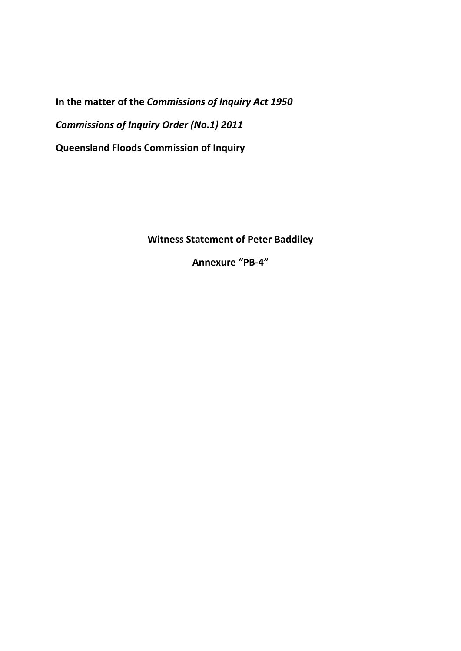**In the matter of the** *Commissions of Inquiry Act 1950 Commissions of Inquiry Order (No.1) 2011*  **Queensland Floods Commission of Inquiry** 

**Witness Statement of Peter Baddiley** 

**Annexure "PB-4"**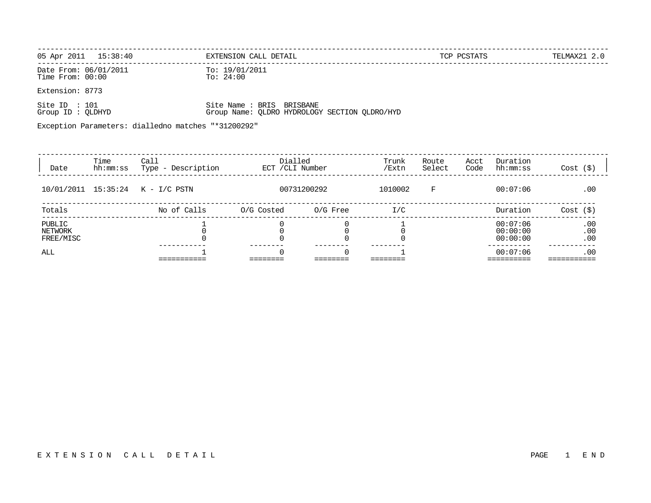| 05 Apr 2011    15:38:40                   | EXTENSION CALL DETAIL       | TCP PCSTATS | TELMAX21 2.0 |
|-------------------------------------------|-----------------------------|-------------|--------------|
| Date From: 06/01/2011<br>Time From: 00:00 | To: 19/01/2011<br>To: 24:00 |             |              |
| Extension: 8773                           |                             |             |              |

| Group ID : QLDHYD |  |  |  |                           | Group Name: QLDRO HYDROLOGY SECTION QLDRO/HYD |
|-------------------|--|--|--|---------------------------|-----------------------------------------------|
| Site ID : 101     |  |  |  | Site Name : BRIS BRISBANE |                                               |

Exception Parameters: dialledno matches "\*31200292"

| Date                           | Time<br>hh:mm:ss | Call<br>Description<br>Type - | Dialled<br>ECT / CLI Number |             | Trunk<br>/Extn | Route<br>Select | Acct<br>Code | Duration<br>hh:mm:ss             | $Cost$ $(\$)$     |
|--------------------------------|------------------|-------------------------------|-----------------------------|-------------|----------------|-----------------|--------------|----------------------------------|-------------------|
| 10/01/2011 15:35:24            |                  | K - I/C PSTN                  |                             | 00731200292 | 1010002        | F               |              | 00:07:06                         | .00               |
| Totals                         |                  | No of Calls                   | O/G Costed                  | 0/G Free    | I/C            |                 |              | Duration                         | Cost (S)          |
| PUBLIC<br>NETWORK<br>FREE/MISC |                  |                               |                             |             |                |                 |              | 00:07:06<br>00:00:00<br>00:00:00 | .00<br>.00<br>.00 |
| ALL                            |                  |                               | 0                           | $\Omega$    |                |                 |              | 00:07:06                         | .00               |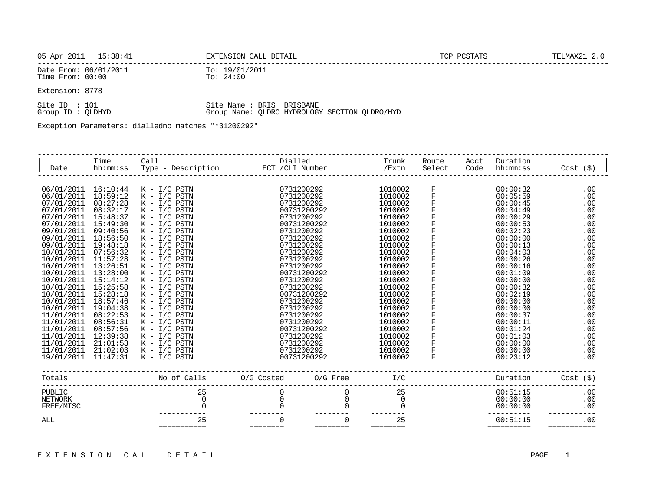| 05 Apr 2011    15:38:41                   | EXTENSION CALL DETAIL       | TCP PCSTATS | TELMAX21 2.0 |
|-------------------------------------------|-----------------------------|-------------|--------------|
| Date From: 06/01/2011<br>Time From: 00:00 | To: 19/01/2011<br>To: 24:00 |             |              |

Extension: 8778

| Site ID : 101     |  |  | Site Name : BRIS BRISBANE                     |  |
|-------------------|--|--|-----------------------------------------------|--|
| Group ID : OLDHYD |  |  | Group Name: QLDRO HYDROLOGY SECTION QLDRO/HYD |  |

Exception Parameters: dialledno matches "\*31200292"

| Date                                                                                                                                                                                                                                                                                                                                                       | Time<br>hh:mm:ss                                                                                                                                                                                                                                                                                         | Call<br>Type - Description                                                                                                                                                                                                                                                                                                                                                                                                                                     | Dialled<br>ECT / CLI Number |                                                                                                                                                                                                                                                                                                                                                                  | Trunk<br>/Extn                                                                                                                                                                                                                                                                  | Route<br>Select                                                         | Acct<br>Code | Duration<br>hh:mm:ss                                                                                                                                                                                                                                                                                     | $Cost$ $(\$)$                                                                                                                                                               |
|------------------------------------------------------------------------------------------------------------------------------------------------------------------------------------------------------------------------------------------------------------------------------------------------------------------------------------------------------------|----------------------------------------------------------------------------------------------------------------------------------------------------------------------------------------------------------------------------------------------------------------------------------------------------------|----------------------------------------------------------------------------------------------------------------------------------------------------------------------------------------------------------------------------------------------------------------------------------------------------------------------------------------------------------------------------------------------------------------------------------------------------------------|-----------------------------|------------------------------------------------------------------------------------------------------------------------------------------------------------------------------------------------------------------------------------------------------------------------------------------------------------------------------------------------------------------|---------------------------------------------------------------------------------------------------------------------------------------------------------------------------------------------------------------------------------------------------------------------------------|-------------------------------------------------------------------------|--------------|----------------------------------------------------------------------------------------------------------------------------------------------------------------------------------------------------------------------------------------------------------------------------------------------------------|-----------------------------------------------------------------------------------------------------------------------------------------------------------------------------|
| 06/01/2011<br>06/01/2011<br>07/01/2011<br>07/01/2011<br>07/01/2011<br>07/01/2011<br>09/01/2011<br>09/01/2011<br>09/01/2011<br>10/01/2011<br>10/01/2011<br>10/01/2011<br>10/01/2011<br>10/01/2011<br>10/01/2011<br>10/01/2011<br>10/01/2011<br>10/01/2011<br>11/01/2011<br>11/01/2011<br>11/01/2011<br>11/01/2011<br>11/01/2011<br>11/01/2011<br>19/01/2011 | 16:10:44<br>18:59:12<br>08:27:28<br>08:32:17<br>15:48:37<br>15:49:30<br>09:40:56<br>18:56:50<br>19:48:18<br>07:56:32<br>11:57:28<br>13:26:51<br>13:28:00<br>15:14:12<br>15:25:58<br>15:28:18<br>18:57:46<br>19:04:38<br>08:22:53<br>08:56:31<br>08:57:56<br>12:39:38<br>21:01:53<br>21:02:03<br>11:47:31 | $K - I/C$ PSTN<br>$K - I/C$ PSTN<br>$K - I/C$ PSTN<br>$K - I/C$ PSTN<br>$K - I/C$ PSTN<br>$K - I/C$ PSTN<br>$K - I/C$ PSTN<br>$K - I/C$ PSTN<br>$K - I/C$ PSTN<br>$K - I/C$ PSTN<br>$K - I/C$ PSTN<br>$K - I/C$ PSTN<br>$K - I/C$ PSTN<br>$K - I/C$ PSTN<br>$K - I/C$ PSTN<br>$K - I/C$ PSTN<br>$K - I/C$ PSTN<br>$K - I/C$ PSTN<br>$K - I/C$ PSTN<br>$K - I/C$ PSTN<br>$K - I/C$ PSTN<br>$K - I/C$ PSTN<br>$K - I/C$ PSTN<br>$K - I/C$ PSTN<br>$K - I/C$ PSTN |                             | 0731200292<br>0731200292<br>0731200292<br>00731200292<br>0731200292<br>00731200292<br>0731200292<br>0731200292<br>0731200292<br>0731200292<br>0731200292<br>0731200292<br>00731200292<br>0731200292<br>0731200292<br>00731200292<br>0731200292<br>0731200292<br>0731200292<br>0731200292<br>00731200292<br>0731200292<br>0731200292<br>0731200292<br>00731200292 | 1010002<br>1010002<br>1010002<br>1010002<br>1010002<br>1010002<br>1010002<br>1010002<br>1010002<br>1010002<br>1010002<br>1010002<br>1010002<br>1010002<br>1010002<br>1010002<br>1010002<br>1010002<br>1010002<br>1010002<br>1010002<br>1010002<br>1010002<br>1010002<br>1010002 | F<br>F<br>F<br>F<br>F<br>F<br>$\mathbf F$<br>F<br>F<br>F<br>F<br>F<br>F |              | 00:00:32<br>00:05:59<br>00:00:45<br>00:04:49<br>00:00:29<br>00:00:53<br>00:02:23<br>00:00:00<br>00:00:13<br>00:04:03<br>00:00:26<br>00:00:16<br>00:01:09<br>00:00:00<br>00:00:32<br>00:02:19<br>00:00:00<br>00:00:00<br>00:00:37<br>00:00:11<br>00:01:24<br>00:01:03<br>00:00:00<br>00:00:00<br>00:23:12 | .00<br>.00<br>.00<br>.00<br>.00<br>.00<br>.00<br>.00<br>.00<br>.00<br>.00<br>.00<br>.00<br>.00<br>.00<br>.00<br>.00<br>.00<br>.00<br>.00<br>.00<br>.00<br>.00<br>.00<br>.00 |
| Totals                                                                                                                                                                                                                                                                                                                                                     |                                                                                                                                                                                                                                                                                                          | No of Calls                                                                                                                                                                                                                                                                                                                                                                                                                                                    | O/G Costed                  | $O/G$ Free                                                                                                                                                                                                                                                                                                                                                       | I/C                                                                                                                                                                                                                                                                             |                                                                         |              | Duration                                                                                                                                                                                                                                                                                                 | $Cost$ $(\$)$                                                                                                                                                               |
| PUBLIC<br><b>NETWORK</b><br>FREE/MISC                                                                                                                                                                                                                                                                                                                      |                                                                                                                                                                                                                                                                                                          | 25<br>0                                                                                                                                                                                                                                                                                                                                                                                                                                                        | 0                           | O                                                                                                                                                                                                                                                                                                                                                                | 25<br>0<br>$\Omega$                                                                                                                                                                                                                                                             |                                                                         |              | 00:51:15<br>00:00:00<br>00:00:00                                                                                                                                                                                                                                                                         | .00<br>.00<br>.00                                                                                                                                                           |
| ALL                                                                                                                                                                                                                                                                                                                                                        |                                                                                                                                                                                                                                                                                                          | 25<br>===========                                                                                                                                                                                                                                                                                                                                                                                                                                              | ========                    | ========                                                                                                                                                                                                                                                                                                                                                         | 25<br>========                                                                                                                                                                                                                                                                  |                                                                         |              | 00:51:15<br>==========                                                                                                                                                                                                                                                                                   | .00                                                                                                                                                                         |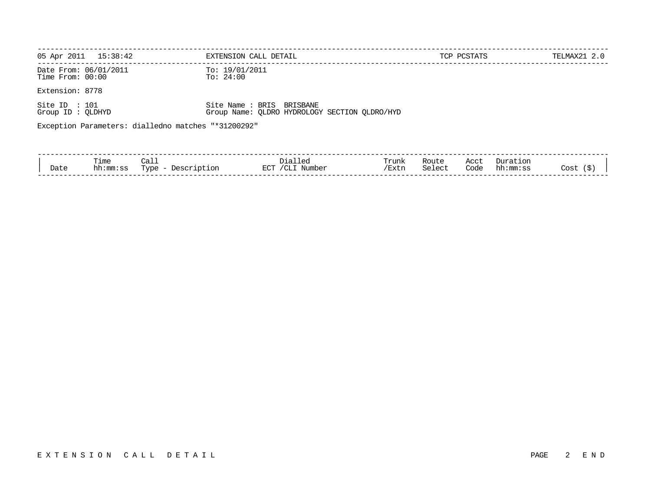| 05 Apr 2011<br>15:38:42                             | EXTENSION CALL DETAIL                                                     | TCP PCSTATS | TELMAX21 2.0 |
|-----------------------------------------------------|---------------------------------------------------------------------------|-------------|--------------|
| Date From: 06/01/2011<br>Time $From: 00:00$         | To: $19/01/2011$<br>To: $24:00$                                           |             |              |
| Extension: 8778                                     |                                                                           |             |              |
| Site ID : $101$<br>Group ID: QLDHYD                 | Site Name: BRIS BRISBANE<br>Group Name: OLDRO HYDROLOGY SECTION OLDRO/HYD |             |              |
| Exception Parameters: dialledno matches "*31200292" |                                                                           |             |              |
|                                                     |                                                                           |             |              |

| Date     | Time<br>$\sim$<br>mm<br>ิม | ۔ ۱<br>arne<br>- - - | ≘ רר<br>$\neg \neg \neg \neg$<br>™DE.<br>-- | Trunk<br>$\sqrt{D}$<br>LALI. | دد ده<br>ROUL.<br>$\alpha$ +<br>$\sim$<br>ししエししし | $\sim$ $\sim$ $+$<br>ിറില<br>coac | Ωr<br>ה הי<br>nn<br>$\cdot$ | _ _ _ _<br>Jost<br>. . |
|----------|----------------------------|----------------------|---------------------------------------------|------------------------------|--------------------------------------------------|-----------------------------------|-----------------------------|------------------------|
| -------- |                            |                      |                                             |                              |                                                  |                                   |                             | ___________            |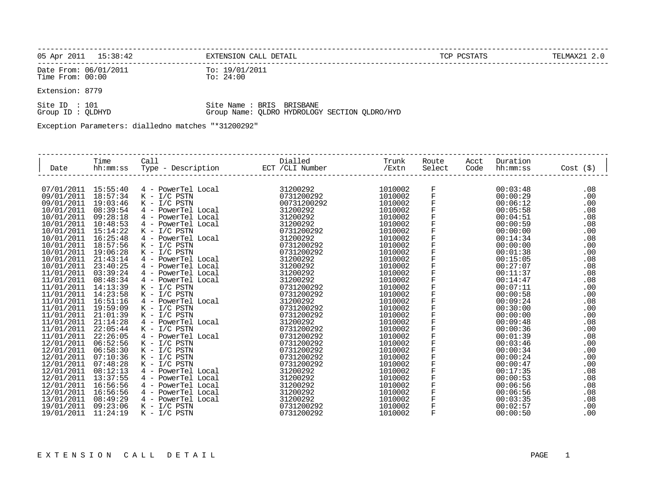| 05 Apr 2011<br>15:38:42                      | EXTENSION CALL DETAIL       | TELMAX21 2. |
|----------------------------------------------|-----------------------------|-------------|
| Date From: 06/01/2011<br>Time From:<br>00:00 | To: 19/01/2011<br>To: 24:00 |             |

Extension: 8779

| Site ID : 101     |  |  |  | Site Name : BRIS BRISBANE                     |  |
|-------------------|--|--|--|-----------------------------------------------|--|
| Group ID : OLDHYD |  |  |  | Group Name: OLDRO HYDROLOGY SECTION OLDRO/HYD |  |

Exception Parameters: dialledno matches "\*31200292"

|            | Time     | Call                    | Dialled          | Trunk   | Route        | Acct | Duration |               |
|------------|----------|-------------------------|------------------|---------|--------------|------|----------|---------------|
| Date       | hh:mm:ss | Type - Description      | ECT / CLI Number | /Extn   | Select       | Code | hh:mm:ss | $Cost$ $(\$)$ |
|            |          |                         |                  |         |              |      |          |               |
| 07/01/2011 | 15:55:40 | 4 - PowerTel Local      | 31200292         | 1010002 | F            |      | 00:03:48 | .08           |
| 09/01/2011 | 18:57:34 | $K - I/C$ PSTN          | 0731200292       | 1010002 | F            |      | 00:00:29 | .00           |
| 09/01/2011 | 19:03:46 | $K - I/C$ PSTN          | 00731200292      | 1010002 | F            |      | 00:06:12 | .00           |
| 10/01/2011 | 08:39:54 | 4 - PowerTel Local      | 31200292         | 1010002 | F            |      | 00:05:58 | .08           |
| 10/01/2011 | 09:28:18 | 4 - PowerTel Local      | 31200292         | 1010002 | F            |      | 00:04:51 | .08           |
| 10/01/2011 | 10:48:53 | 4 - PowerTel Local      | 31200292         | 1010002 | F            |      | 00:00:59 | .08           |
| 10/01/2011 | 15:14:22 | $K - I/C$ PSTN          | 0731200292       | 1010002 | F            |      | 00:00:00 | .00           |
| 10/01/2011 | 16:25:48 | 4 - PowerTel Local      | 31200292         | 1010002 | F            |      | 00:14:34 | .08           |
| 10/01/2011 | 18:57:56 | $K - I/C$ PSTN          | 0731200292       | 1010002 | F            |      | 00:00:00 | .00           |
| 10/01/2011 | 19:06:28 | $K - I/C$ PSTN          | 0731200292       | 1010002 | F            |      | 00:01:38 | .00           |
| 10/01/2011 | 21:43:14 | 4 - PowerTel Local      | 31200292         | 1010002 |              |      | 00:15:05 | .08           |
| 10/01/2011 | 23:40:25 | PowerTel Local<br>$4 -$ | 31200292         | 1010002 | F            |      | 00:27:07 | .08           |
| 11/01/2011 | 03:39:24 | PowerTel Local          | 31200292         | 1010002 | F            |      | 00:11:37 | .08           |
| 11/01/2011 | 08:48:34 | PowerTel Local<br>$4 -$ | 31200292         | 1010002 | F            |      | 00:14:47 | .08           |
| 11/01/2011 | 14:13:39 | $K - I/C$ PSTN          | 0731200292       | 1010002 | F            |      | 00:07:11 | .00           |
| 11/01/2011 | 14:23:58 | $K - I/C$ PSTN          | 0731200292       | 1010002 | F            |      | 00:00:58 | .00           |
| 11/01/2011 | 16:51:16 | 4 - PowerTel Local      | 31200292         | 1010002 | F            |      | 00:09:24 | .08           |
| 11/01/2011 | 19:59:09 | $K - I/C$ PSTN          | 0731200292       | 1010002 | F            |      | 00:30:00 | .00           |
| 11/01/2011 | 21:01:39 | $K - I/C$ PSTN          | 0731200292       | 1010002 | $\mathbf{F}$ |      | 00:00:00 | .00           |
| 11/01/2011 | 21:14:28 | 4 - PowerTel Local      | 31200292         | 1010002 | F            |      | 00:09:48 | .08           |
| 11/01/2011 | 22:05:44 | $K - I/C$ PSTN          | 0731200292       | 1010002 | F            |      | 00:00:36 | .00           |
| 11/01/2011 | 22:26:05 | 4 - PowerTel Local      | 0731200292       | 1010002 | F            |      | 00:01:39 | .08           |
| 12/01/2011 | 06:52:56 | $K - I/C$ PSTN          | 0731200292       | 1010002 | F            |      | 00:03:46 | .00           |
| 12/01/2011 | 06:58:30 | $K - I/C$ PSTN          | 0731200292       | 1010002 | F            |      | 00:00:34 | .00           |
| 12/01/2011 | 07:10:36 | $K - I/C$ PSTN          | 0731200292       | 1010002 |              |      | 00:00:24 | .00           |
| 12/01/2011 | 07:48:28 | $K - I/C$ PSTN          | 0731200292       | 1010002 |              |      | 00:00:47 | .00           |
| 12/01/2011 | 08:12:13 | 4 - PowerTel Local      | 31200292         | 1010002 |              |      | 00:17:35 | .08           |
| 12/01/2011 | 13:37:55 | 4 - PowerTel Local      | 31200292         | 1010002 | F            |      | 00:00:53 | .08           |
| 12/01/2011 | 16:56:56 | PowerTel Local<br>$4 -$ | 31200292         | 1010002 |              |      | 00:06:56 | .08           |
| 12/01/2011 | 16:56:56 | 4 - PowerTel Local      | 31200292         | 1010002 |              |      | 00:06:56 | .08           |
| 13/01/2011 | 08:49:29 | 4 - PowerTel Local      | 31200292         | 1010002 | F            |      | 00:03:35 | .08           |
| 19/01/2011 | 09:23:06 | $K - I/C$ PSTN          | 0731200292       | 1010002 |              |      | 00:02:57 | .00           |
| 19/01/2011 | 11:24:19 | $K - I/C$ PSTN          | 0731200292       | 1010002 | F            |      | 00:00:50 | .00           |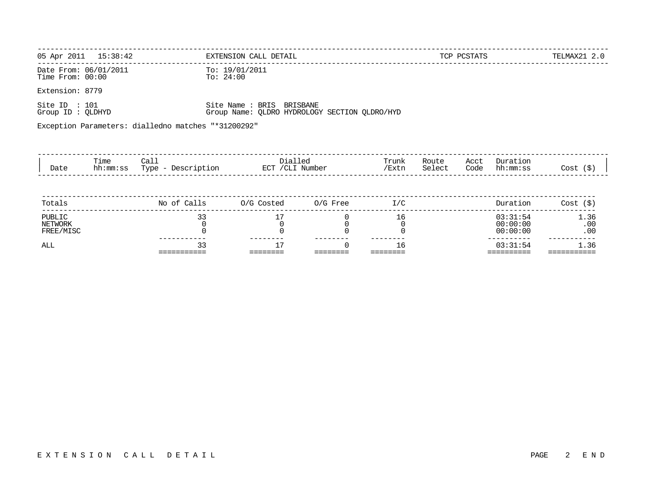|                                             | 05 Apr 2011  15:38:42 |                                                      | EXTENSION CALL DETAIL                                                      |                    |                     |                 | TCP PCSTATS  |                                  | TELMAX21 2.0       |
|---------------------------------------------|-----------------------|------------------------------------------------------|----------------------------------------------------------------------------|--------------------|---------------------|-----------------|--------------|----------------------------------|--------------------|
| Date From: 06/01/2011<br>Time $From: 00:00$ |                       | To: $24:00$                                          | To: 19/01/2011                                                             |                    |                     |                 |              |                                  |                    |
| Extension: 8779                             |                       |                                                      |                                                                            |                    |                     |                 |              |                                  |                    |
| Site ID : $101$<br>Group ID : QLDHYD        |                       |                                                      | Site Name : BRIS BRISBANE<br>Group Name: QLDRO HYDROLOGY SECTION QLDRO/HYD |                    |                     |                 |              |                                  |                    |
|                                             |                       | Exception Parameters: dialledno matches "*31200292"  |                                                                            |                    |                     |                 |              |                                  |                    |
|                                             |                       |                                                      |                                                                            |                    |                     |                 |              |                                  |                    |
| Date                                        | Time                  | Call<br>hh:mm:ss Type - Description ECT / CLI Number | Dialled                                                                    |                    | Trunk<br>/Extn      | Route<br>Select | Acct<br>Code | Duration<br>hh:mm:ss             | Cost (\$)          |
| Totals                                      |                       | No of Calls                                          | 0/G Costed 0/G Free                                                        |                    | I/C                 |                 |              | Duration                         | Cost (S)           |
| PUBLIC<br>NETWORK<br>FREE/MISC              |                       | 33<br>0                                              | 17                                                                         | 0<br>0<br>$\Omega$ | 16<br>0<br>$\Omega$ |                 |              | 03:31:54<br>00:00:00<br>00:00:00 | 1.36<br>.00<br>.00 |
| ALL                                         |                       | 33                                                   | 17                                                                         |                    | 16                  |                 |              | 03:31:54                         | 1.36               |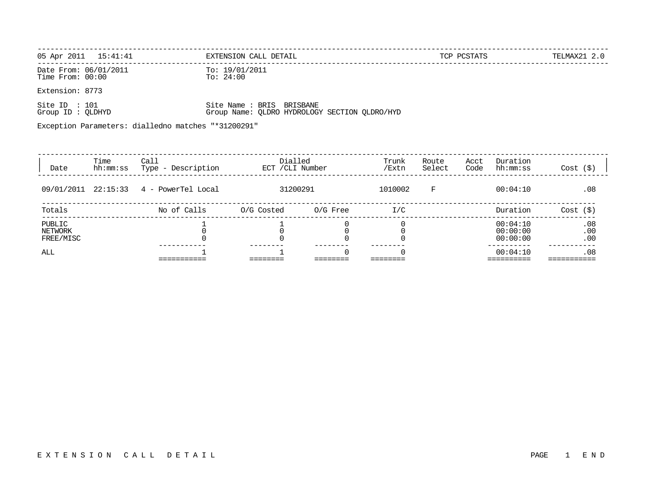| 05 Apr 2011 15:41:41                      | EXTENSION CALL DETAIL         | TCP PCSTATS | TELMAX21 2.0 |
|-------------------------------------------|-------------------------------|-------------|--------------|
| Date From: 06/01/2011<br>Time From: 00:00 | To: 19/01/2011<br>To: $24:00$ |             |              |
| Extension: 8773                           |                               |             |              |

| Site ID : 101     |  |  | Site Name : BRIS BRISBANE |                                               |
|-------------------|--|--|---------------------------|-----------------------------------------------|
| Group ID : OLDHYD |  |  |                           | Group Name: QLDRO HYDROLOGY SECTION QLDRO/HYD |

Exception Parameters: dialledno matches "\*31200291"

| Date                           | Time<br>hh:mm:ss | Call<br>Description<br>Type - | Dialled<br>ECT / CLI Number |          | Trunk<br>/Extn | Route<br>Select | Acct<br>Code | Duration<br>hh:mm:ss             | $Cost$ $(\$)$     |
|--------------------------------|------------------|-------------------------------|-----------------------------|----------|----------------|-----------------|--------------|----------------------------------|-------------------|
| 09/01/2011 22:15:33            |                  | 4 - PowerTel Local            | 31200291                    |          | 1010002        | F               |              | 00:04:10                         | .08               |
| Totals                         |                  | No of Calls                   | O/G Costed                  | 0/G Free | I/C            |                 |              | Duration                         | Cost (S)          |
| PUBLIC<br>NETWORK<br>FREE/MISC |                  |                               |                             |          |                |                 |              | 00:04:10<br>00:00:00<br>00:00:00 | .08<br>.00<br>.00 |
| ALL                            |                  |                               |                             |          |                |                 |              | 00:04:10                         | .08               |